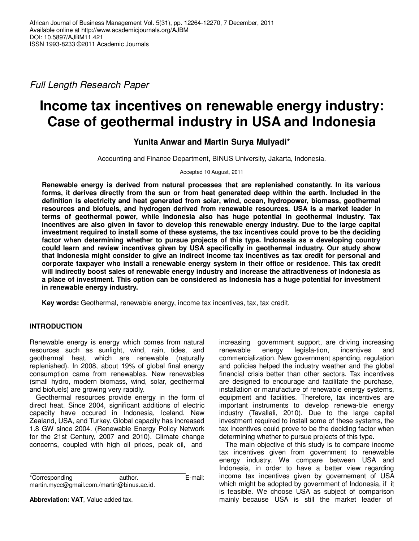Full Length Research Paper

# **Income tax incentives on renewable energy industry: Case of geothermal industry in USA and Indonesia**

# **Yunita Anwar and Martin Surya Mulyadi\***

Accounting and Finance Department, BINUS University, Jakarta, Indonesia.

#### Accepted 10 August, 2011

**Renewable energy is derived from natural processes that are replenished constantly. In its various forms, it derives directly from the sun or from heat generated deep within the earth. Included in the definition is electricity and heat generated from solar, wind, ocean, hydropower, biomass, geothermal resources and biofuels, and hydrogen derived from renewable resources. USA is a market leader in terms of geothermal power, while Indonesia also has huge potential in geothermal industry. Tax incentives are also given in favor to develop this renewable energy industry. Due to the large capital investment required to install some of these systems, the tax incentives could prove to be the deciding factor when determining whether to pursue projects of this type. Indonesia as a developing country could learn and review incentives given by USA specifically in geothermal industry. Our study show that Indonesia might consider to give an indirect income tax incentives as tax credit for personal and corporate taxpayer who install a renewable energy system in their office or residence. This tax credit will indirectly boost sales of renewable energy industry and increase the attractiveness of Indonesia as a place of investment. This option can be considered as Indonesia has a huge potential for investment in renewable energy industry.** 

**Key words:** Geothermal, renewable energy, income tax incentives, tax, tax credit.

# **INTRODUCTION**

Renewable energy is energy which comes from natural resources such as sunlight, wind, rain, tides, and geothermal heat, which are renewable (naturally replenished). In 2008, about 19% of global final energy consumption came from renewables. New renewables (small hydro, modern biomass, wind, solar, geothermal and biofuels) are growing very rapidly.

Geothermal resources provide energy in the form of direct heat. Since 2004, significant additions of electric capacity have occured in Indonesia, Iceland, New Zealand, USA, and Turkey. Global capacity has increased 1.8 GW since 2004. (Renewable Energy Policy Network for the 21st Century, 2007 and 2010). Climate change concerns, coupled with high oil prices, peak oil, and

\*Corresponding author. E-mail: martin.mycc@gmail.com./martin@binus.ac.id.

**Abbreviation: VAT**, Value added tax.

increasing government support, are driving increasing<br>renewable energy legisla-tion, incentives and energy legisla-tion, incentives and commercialization. New government spending, regulation and policies helped the industry weather and the global financial crisis better than other sectors. Tax incentives are designed to encourage and facilitate the purchase, installation or manufacture of renewable energy systems, equipment and facilities. Therefore, tax incentives are important instruments to develop renewa-ble energy industry (Tavallali, 2010). Due to the large capital investment required to install some of these systems, the tax incentives could prove to be the deciding factor when determining whether to pursue projects of this type.

The main objective of this study is to compare income tax incentives given from government to renewable energy industry. We compare between USA and Indonesia, in order to have a better view regarding income tax incentives given by governement of USA which might be adopted by government of Indonesia, if it is feasible. We choose USA as subject of comparison mainly because USA is still the market leader of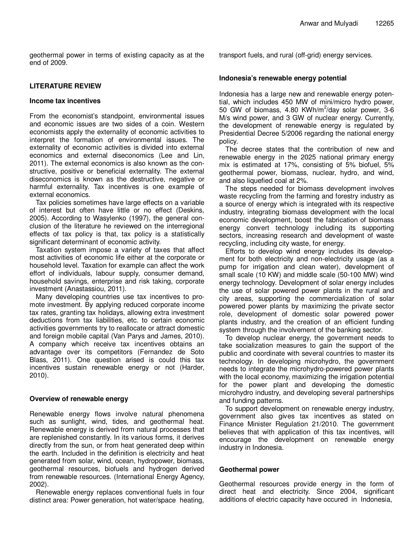geothermal power in terms of existing capacity as at the end of 2009.

## **LITERATURE REVIEW**

### **Income tax incentives**

From the economist's standpoint, environmental issues and economic issues are two sides of a coin. Western economists apply the externality of economic activities to interpret the formation of environmental issues. The externality of economic activities is divided into external economics and external diseconomics (Lee and Lin, 2011). The external economics is also known as the constructive, positive or beneficial externality. The external diseconomics is known as the destructive, negative or harmful externality. Tax incentives is one example of external economics.

Tax policies sometimes have large effects on a variable of interest but often have little or no effect (Deskins, 2005). According to Wasylenko (1997), the general conclusion of the literature he reviewed on the interregional effects of tax policy is that, tax policy is a statistically significant determinant of economic activity.

Taxation system impose a variety of taxes that affect most activities of economic life either at the corporate or household level. Taxation for example can affect the work effort of individuals, labour supply, consumer demand, household savings, enterprise and risk taking, corporate investment (Anastassiou, 2011).

Many developing countries use tax incentives to promote investment. By applying reduced corporate income tax rates, granting tax holidays, allowing extra investment deductions from tax liabilities, etc. to certain economic activities governments try to reallocate or attract domestic and foreign mobile capital (Van Parys and James, 2010). A company which receive tax incentives obtains an advantage over its competitors (Fernandez de Soto Blass, 2011). One question arised is could this tax incentives sustain renewable energy or not (Harder, 2010).

## **Overview of renewable energy**

Renewable energy flows involve natural phenomena such as sunlight, wind, tides, and geothermal heat. Renewable energy is derived from natural processes that are replenished constantly. In its various forms, it derives directly from the sun, or from heat generated deep within the earth. Included in the definition is electricity and heat generated from solar, wind, ocean, hydropower, biomass, geothermal resources, biofuels and hydrogen derived from renewable resources. (International Energy Agency, 2002).

Renewable energy replaces conventional fuels in four distinct area: Power generation, hot water/space heating, transport fuels, and rural (off-grid) energy services.

### **Indonesia's renewable energy potential**

Indonesia has a large new and renewable energy potential, which includes 450 MW of mini/micro hydro power, 50 GW of biomass, 4.80 KWh/m<sup>2</sup>/day solar power, 3-6 M/s wind power, and 3 GW of nuclear energy. Currently, the development of renewable energy is regulated by Presidential Decree 5/2006 regarding the national energy policy.

The decree states that the contribution of new and renewable energy in the 2025 national primary energy mix is estimated at 17%, consisting of 5% biofuel, 5% geothermal power, biomass, nuclear, hydro, and wind, and also liquefied coal at 2%.

The steps needed for biomass development involves waste recycling from the farming and forestry industry as a source of energy which is integrated with its respective industry, integrating biomass development with the local economic development, boost the fabrication of biomass energy convert technology including its supporting sectors, increasing research and development of waste recycling, including city waste, for energy.

Efforts to develop wind energy includes its development for both electricity and non-electricity usage (as a pump for irrigation and clean water), development of small scale (10 KW) and middle scale (50-100 MW) wind energy technology. Development of solar energy includes the use of solar powered power plants in the rural and city areas, supporting the commercialization of solar powered power plants by maximizing the private sector role, development of domestic solar powered power plants industry, and the creation of an efficient funding system through the involvement of the banking sector.

To develop nuclear energy, the government needs to take socialization measures to gain the support of the public and coordinate with several countries to master its technology. In developing microhydro, the government needs to integrate the microhydro-powered power plants with the local economy, maximizing the irrigation potential for the power plant and developing the domestic microhydro industry, and developing several partnerships and funding patterns.

To support development on renewable energy industry, government also gives tax incentives as stated on Finance Minister Regulation 21/2010. The government believes that with application of this tax incentives, will encourage the development on renewable energy industry in Indonesia.

## **Geothermal power**

Geothermal resources provide energy in the form of direct heat and electricity. Since 2004, significant additions of electric capacity have occured in Indonesia,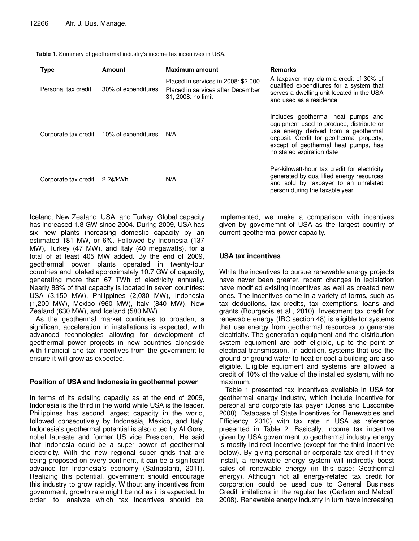| <b>Type</b>          | <b>Amount</b>       | <b>Maximum amount</b>                                                                           | <b>Remarks</b>                                                                                                                                                                                                                          |
|----------------------|---------------------|-------------------------------------------------------------------------------------------------|-----------------------------------------------------------------------------------------------------------------------------------------------------------------------------------------------------------------------------------------|
| Personal tax credit  | 30% of expenditures | Placed in services in 2008: \$2,000.<br>Placed in services after December<br>31, 2008: no limit | A taxpayer may claim a credit of 30% of<br>qualified expenditures for a system that<br>serves a dwelling unit located in the USA<br>and used as a residence                                                                             |
| Corporate tax credit | 10% of expenditures | N/A                                                                                             | Includes geothermal heat pumps and<br>equipment used to produce, distribute or<br>use energy derived from a geothermal<br>deposit. Credit for geothermal property,<br>except of geothermal heat pumps, has<br>no stated expiration date |
| Corporate tax credit | 2.2¢/kWh            | N/A                                                                                             | Per-kilowatt-hour tax credit for electricity<br>generated by qua lified energy resources<br>and sold by taxpayer to an unrelated<br>person during the taxable year.                                                                     |

**Table 1**. Summary of geothermal industry's income tax incentives in USA.

Iceland, New Zealand, USA, and Turkey. Global capacity has increased 1.8 GW since 2004. During 2009, USA has six new plants increasing domestic capacity by an estimated 181 MW, or 6%. Followed by Indonesia (137 MW), Turkey (47 MW), and Italy (40 megawatts), for a total of at least 405 MW added. By the end of 2009, geothermal power plants operated in twenty-four countries and totaled approximately 10.7 GW of capacity, generating more than 67 TWh of electricity annually. Nearly 88% of that capacity is located in seven countries: USA (3,150 MW), Philippines (2,030 MW), Indonesia (1,200 MW), Mexico (960 MW), Italy (840 MW), New Zealand (630 MW), and Iceland (580 MW).

As the geothermal market continues to broaden, a significant acceleration in installations is expected, with advanced technologies allowing for development of geothermal power projects in new countries alongside with financial and tax incentives from the government to ensure it will grow as expected.

## **Position of USA and Indonesia in geothermal power**

In terms of its existing capacity as at the end of 2009, Indonesia is the third in the world while USA is the leader. Philippines has second largest capacity in the world, followed consecutively by Indonesia, Mexico, and Italy. Indonesia's geothermal potential is also cited by Al Gore, nobel laureate and former US vice President. He said that Indonesia could be a super power of geothermal electricity. With the new regional super grids that are being proposed on every continent, it can be a signifcant advance for Indonesia's economy (Satriastanti, 2011). Realizing this potential, government should encourage this industry to grow rapidly. Without any incentives from government, growth rate might be not as it is expected. In order to analyze which tax incentives should be

implemented, we make a comparison with incentives given by governemnt of USA as the largest country of current geothermal power capacity.

# **USA tax incentives**

While the incentives to pursue renewable energy projects have never been greater, recent changes in legislation have modified existing incentives as well as created new ones. The incentives come in a variety of forms, such as tax deductions, tax credits, tax exemptions, loans and grants (Bourgeois et al., 2010). Investment tax credit for renewable energy (IRC section 48) is eligible for systems that use energy from geothermal resources to generate electricity. The generation equipment and the distribution system equipment are both eligible, up to the point of electrical transmission. In addition, systems that use the ground or ground water to heat or cool a building are also eligible. Eligible equipment and systems are allowed a credit of 10% of the value of the installed system, with no maximum.

Table 1 presented tax incentives available in USA for geothermal energy industry, which include incentive for personal and corporate tax payer (Jones and Luscombe 2008). Database of State Incentives for Renewables and Efficiency, 2010) with tax rate in USA as reference presented in Table 2. Basically, income tax incentive given by USA government to geothermal industry energy is mostly indirect incentive (except for the third incentive below). By giving personal or corporate tax credit if they install, a renewable energy system will indirectly boost sales of renewable energy (in this case: Geothermal energy). Although not all energy-related tax credit for corporation could be used due to General Business Credit limitations in the regular tax (Carlson and Metcalf 2008). Renewable energy industry in turn have increasing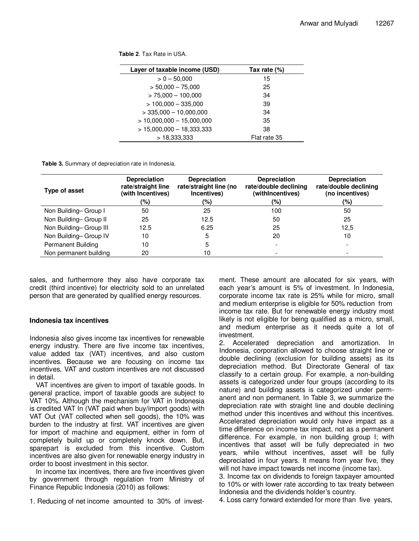**Table 2**. Tax Rate in USA.

| Layer of taxable income (USD) | Tax rate $(\%)$ |
|-------------------------------|-----------------|
| $> 0 - 50,000$                | 15              |
| $> 50,000 - 75,000$           | 25              |
| $> 75,000 - 100,000$          | 34              |
| $> 100,000 - 335,000$         | 39              |
| $>$ 335,000 $-$ 10,000,000    | 34              |
| $> 10,000,000 - 15,000,000$   | 35              |
| $> 15,000,000 - 18,333,333$   | 38              |
| >18.333.333                   | Flat rate 35    |

**Table 3.** Summary of depreciation rate in Indonesia.

| Type of asset             | <b>Depreciation</b><br>rate/straight line<br>(with Incentives) | <b>Depreciation</b><br>rate/straight line (no<br>Incentives) | <b>Depreciation</b><br>rate/double declining<br>(withIncentives) | <b>Depreciation</b><br>rate/double declining<br>(no incentives) |  |
|---------------------------|----------------------------------------------------------------|--------------------------------------------------------------|------------------------------------------------------------------|-----------------------------------------------------------------|--|
|                           | (%)                                                            | (%)                                                          | (%)                                                              | (%)                                                             |  |
| Non Building-Group I      | 50                                                             | 25                                                           | 100                                                              | 50                                                              |  |
| Non Building-Group II     | 25                                                             | 12.5                                                         | 50                                                               | 25                                                              |  |
| Non Building-Group III    | 12.5                                                           | 6.25                                                         | 25                                                               | 12,5                                                            |  |
| Non Building-Group IV     | 10                                                             | 5                                                            | 20                                                               | 10                                                              |  |
| <b>Permanent Building</b> | 10                                                             | 5                                                            |                                                                  |                                                                 |  |
| Non permanent building    | 20                                                             | 10                                                           |                                                                  |                                                                 |  |

sales, and furthermore they also have corporate tax credit (third incentive) for electricity sold to an unrelated person that are generated by qualified energy resources.

#### **Indonesia tax incentives**

Indonesia also gives income tax incentives for renewable energy industry. There are five income tax incentives, value added tax (VAT) incentives, and also custom incentives. Because we are focusing on income tax incentives, VAT and custom incentives are not discussed in detail.

VAT incentives are given to import of taxable goods. In general practice, import of taxable goods are subject to VAT 10%. Although the mechanism for VAT in Indonesia is credited VAT In (VAT paid when buy/import goods) with VAT Out (VAT collected when sell goods), the 10% was burden to the industry at first. VAT incentives are given for import of machine and equipment, either in form of completely build up or completely knock down. But, sparepart is excluded from this incentive. Custom incentives are also given for renewable energy industry in order to boost investment in this sector.

In income tax incentives, there are five incentives given by government through regulation from Ministry of Finance Republic Indonesia (2010) as follows:

1. Reducing of net income amounted to 30% of invest-

ment. These amount are allocated for six years, with each year's amount is 5% of investment. In Indonesia, corporate income tax rate is 25% while for micro, small and medium enterprise is eligible for 50% reduction from income tax rate. But for renewable energy industry most likely is not eligible for being qualified as a micro, small, and medium enterprise as it needs quite a lot of investment.

2. Accelerated depreciation and amortization. In Indonesia, corporation allowed to choose straight line or double declining (exclusion for building assets) as its depreciation method. But Directorate General of tax classify to a certain group. For example, a non-building assets is categorized under four groups (according to its nature) and building assets is categorized under permanent and non permanent. In Table 3, we summarize the depreciation rate with straight line and double declining method under this incentives and without this incentives. Accelerated depreciation would only have impact as a time difference on income tax impact, not as a permanent difference. For example, in non building group I; with incentives that asset will be fully depreciated in two years, while without incentives, asset will be fully depreciated in four years. It means from year five, they will not have impact towards net income (income tax).

3. Income tax on dividends to foreign taxpayer amounted to 10% or with lower rate according to tax treaty between Indonesia and the dividends holder's country.

4. Loss carry forward extended for more than five years,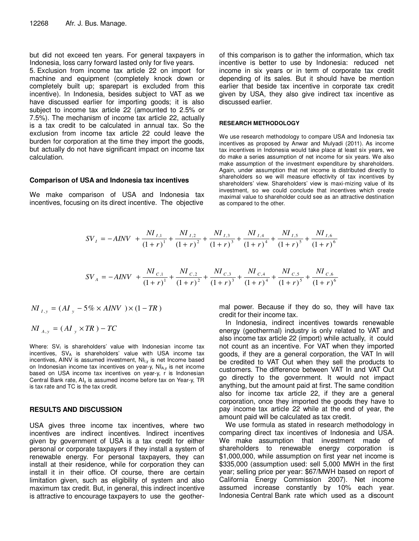but did not exceed ten years. For general taxpayers in Indonesia, loss carry forward lasted only for five years.

5. Exclusion from income tax article 22 on import for machine and equipment (completely knock down or completely built up; sparepart is excluded from this incentive). In Indonesia, besides subject to VAT as we have discussed earlier for importing goods; it is also subject to income tax article 22 (amounted to 2.5% or 7.5%). The mechanism of income tax article 22, actually is a tax credit to be calculated in annual tax. So the exclusion from income tax article 22 could leave the burden for corporation at the time they import the goods, but actually do not have significant impact on income tax calculation.

#### **Comparison of USA and Indonesia tax incentives**

We make comparison of USA and Indonesia tax incentives, focusing on its direct incentive. The objective

of this comparison is to gather the information, which tax incentive is better to use by Indonesia: reduced net income in six years or in term of corporate tax credit depending of its sales. But it should have be mention earlier that beside tax incentive in corporate tax credit given by USA, they also give indirect tax incentive as discussed earlier.

#### **RESEARCH METHODOLOGY**

We use research methodology to compare USA and Indonesia tax incentives as proposed by Anwar and Mulyadi (2011). As income tax incentives in Indonesia would take place at least six years, we do make a series assumption of net income for six years. We also make assumption of the investment expenditure by shareholders. Again, under assumption that net income is distributed directly to shareholders so we will measure effectivity of tax incentives by shareholders' view. Shareholders' view is maxi-mizing value of its investment, so we could conclude that incentives which create maximal value to shareholder could see as an attractive destination as compared to the other.

$$
SV_{I} = -AINV + \frac{NI_{I,1}}{(1+r)^{1}} + \frac{NI_{I,2}}{(1+r)^{2}} + \frac{NI_{I,3}}{(1+r)^{3}} + \frac{NI_{I,4}}{(1+r)^{4}} + \frac{NI_{I,5}}{(1+r)^{5}} + \frac{NI_{I,6}}{(1+r)^{6}}
$$

$$
SV_A = -AINV + \frac{NI_{c,1}}{(1+r)^{1}} + \frac{NI_{c,2}}{(1+r)^{2}} + \frac{NI_{c,3}}{(1+r)^{3}} + \frac{NI_{c,4}}{(1+r)^{4}} + \frac{NI_{c,5}}{(1+r)^{5}} + \frac{NI_{c,6}}{(1+r)^{6}}
$$

( 5% ) 1( ) *NI <sup>I</sup>* , *<sup>y</sup>* = *AI <sup>y</sup>* − × *AINV* × − *TR NI <sup>A</sup>*, *<sup>y</sup>* = ( *AI <sup>y</sup>* × *TR* ) − *TC*

Where:  $SV<sub>1</sub>$  is shareholders' value with Indonesian income tax incentives, SVA is shareholders' value with USA income tax incentives, AINV is assumed investment,  $NI<sub>l,y</sub>$  is net Income based on Indonesian income tax incentives on year-y,  $NI_{A,y}$  is net income based on USA income tax incentives on year-y, r is Indonesian Central Bank rate, AIy is assumed income before tax on Year-y, TR is tax rate and TC is the tax credit.

#### **RESULTS AND DISCUSSION**

USA gives three income tax incentives, where two incentives are indirect incentives. Indirect incentives given by government of USA is a tax credit for either personal or corporate taxpayers if they install a system of renewable energy. For personal taxpayers, they can install at their residence, while for corporation they can install it in their office. Of course, there are certain limitation given, such as eligibility of system and also maximum tax credit. But, in general, this indirect incentive is attractive to encourage taxpayers to use the geother-

mal power. Because if they do so, they will have tax credit for their income tax.

In Indonesia, indirect incentives towards renewable energy (geothermal) industry is only related to VAT and also income tax article 22 (import) while actually, it could not count as an incentive. For VAT when they imported goods, if they are a general corporation, the VAT In will be credited to VAT Out when they sell the products to customers. The difference between VAT In and VAT Out go directly to the government. It would not impact anything, but the amount paid at first. The same condition also for income tax article 22, if they are a general corporation, once they imported the goods they have to pay income tax article 22 while at the end of year, the amount paid will be calculated as tax credit.

We use formula as stated in research methodology in comparing direct tax incentives of Indonesia and USA. We make assumption that investment made of shareholders to renewable energy corporation is \$1,000,000, while assumption on first year net income is \$335,000 (assumption used: sell 5,000 MWH in the first year; selling price per year: \$67/MWH based on report of California Energy Commission 2007). Net income assumed increase constantly by 10% each year. Indonesia Central Bank rate which used as a discount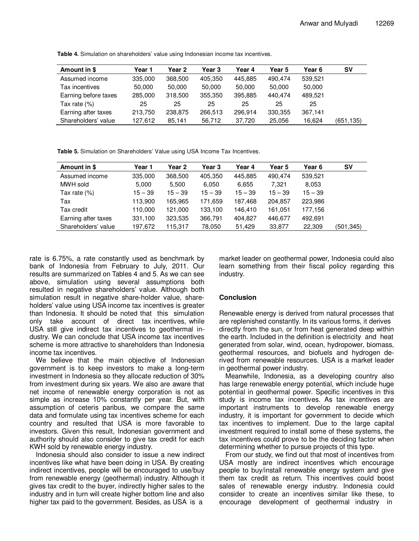| Amount in \$         | Year 1  | Year 2  | Year 3  | Year 4  | Year 5  | Year 6  | sv        |
|----------------------|---------|---------|---------|---------|---------|---------|-----------|
| Assumed income       | 335,000 | 368,500 | 405,350 | 445,885 | 490.474 | 539,521 |           |
| Tax incentives       | 50,000  | 50,000  | 50,000  | 50,000  | 50,000  | 50,000  |           |
| Earning before taxes | 285,000 | 318,500 | 355,350 | 395,885 | 440.474 | 489,521 |           |
| Tax rate (%)         | 25      | 25      | 25      | 25      | 25      | 25      |           |
| Earning after taxes  | 213,750 | 238,875 | 266,513 | 296.914 | 330,355 | 367,141 |           |
| Shareholders' value  | 127,612 | 85,141  | 56.712  | 37.720  | 25,056  | 16,624  | (651,135) |

**Table 4.** Simulation on shareholders' value using Indonesian income tax incentives.

**Table 5.** Simulation on Shareholders' Value using USA Income Tax Incentives.

| Amount in \$        | Year 1    | Year 2    | Year 3    | Year 4    | Year 5    | Year 6    | <b>SV</b> |
|---------------------|-----------|-----------|-----------|-----------|-----------|-----------|-----------|
| Assumed income      | 335,000   | 368,500   | 405,350   | 445,885   | 490.474   | 539,521   |           |
| MWH sold            | 5,000     | 5,500     | 6,050     | 6,655     | 7.321     | 8,053     |           |
| Tax rate $(%)$      | $15 - 39$ | $15 - 39$ | $15 - 39$ | $15 - 39$ | $15 - 39$ | $15 - 39$ |           |
| Tax                 | 113,900   | 165,965   | 171,659   | 187,468   | 204,857   | 223,986   |           |
| Tax credit          | 110,000   | 121,000   | 133,100   | 146.410   | 161,051   | 177,156   |           |
| Earning after taxes | 331,100   | 323,535   | 366,791   | 404,827   | 446,677   | 492,691   |           |
| Shareholders' value | 197,672   | 115,317   | 78,050    | 51,429    | 33,877    | 22,309    | (501.345) |

rate is 6.75%, a rate constantly used as benchmark by bank of Indonesia from February to July, 2011. Our results are summarized on Tables 4 and 5. As we can see above, simulation using several assumptions both resulted in negative shareholders' value. Although both simulation result in negative share-holder value, shareholders' value using USA income tax incentives is greater than Indonesia. It should be noted that this simulation only take account of direct tax incentives, while USA still give indirect tax incentives to geothermal industry. We can conclude that USA income tax incentives scheme is more attractive to shareholders than Indonesia income tax incentives.

We believe that the main objective of Indonesian government is to keep investors to make a long-term investment in Indonesia so they allocate reduction of 30% from investment during six years. We also are aware that net income of renewable energy corporation is not as simple as increase 10% constantly per year. But, with assumption of ceteris paribus, we compare the same data and formulate using tax incentives scheme for each country and resulted that USA is more favorable to investors. Given this result, Indonesian government and authority should also consider to give tax credit for each KWH sold by renewable energy industry.

Indonesia should also consider to issue a new indirect incentives like what have been doing in USA. By creating indirect incentives, people will be encouraged to use/buy from renewable energy (geothermal) industry. Although it gives tax credit to the buyer, indirectly higher sales to the industry and in turn will create higher bottom line and also higher tax paid to the government. Besides, as USA is a

market leader on geothermal power, Indonesia could also learn something from their fiscal policy regarding this industry.

# **Conclusion**

Renewable energy is derived from natural processes that are replenished constantly. In its various forms, it derives directly from the sun, or from heat generated deep within the earth. Included in the definition is electricity and heat generated from solar, wind, ocean, hydropower, biomass, geothermal resources, and biofuels and hydrogen derived from renewable resources. USA is a market leader in geothermal power industry.

Meanwhile, Indonesia, as a developing country also has large renewable energy potential, which include huge potential in geothermal power. Specific incentives in this study is income tax incentives. As tax incentives are important instruments to develop renewable energy industry, it is important for government to decide which tax incentives to implement. Due to the large capital investment required to install some of these systems, the tax incentives could prove to be the deciding factor when determining whether to pursue projects of this type.

From our study, we find out that most of incentives from USA mostly are indirect incentives which encourage people to buy/install renewable energy system and give them tax credit as return. This incentives could boost sales of renewable energy industry. Indonesia could consider to create an incentives similar like these, to encourage development of geothermal industry in